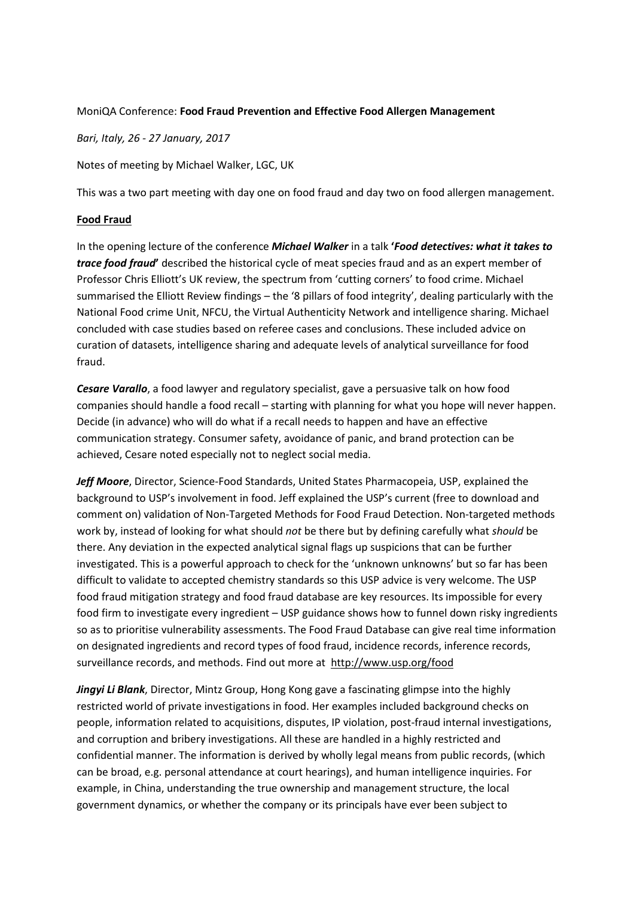## MoniQA Conference: **Food Fraud Prevention and Effective Food Allergen Management**

*Bari, Italy, 26 - 27 January, 2017*

Notes of meeting by Michael Walker, LGC, UK

This was a two part meeting with day one on food fraud and day two on food allergen management.

## **Food Fraud**

In the opening lecture of the conference *Michael Walker* in a talk **'***Food detectives: what it takes to trace food fraud***'** described the historical cycle of meat species fraud and as an expert member of Professor Chris Elliott's UK review, the spectrum from 'cutting corners' to food crime. Michael summarised the Elliott Review findings – the '8 pillars of food integrity', dealing particularly with the National Food crime Unit, NFCU, the Virtual Authenticity Network and intelligence sharing. Michael concluded with case studies based on referee cases and conclusions. These included advice on curation of datasets, intelligence sharing and adequate levels of analytical surveillance for food fraud.

*Cesare Varallo*, a food lawyer and regulatory specialist, gave a persuasive talk on how food companies should handle a food recall – starting with planning for what you hope will never happen. Decide (in advance) who will do what if a recall needs to happen and have an effective communication strategy. Consumer safety, avoidance of panic, and brand protection can be achieved, Cesare noted especially not to neglect social media.

*Jeff Moore*, Director, Science-Food Standards, United States Pharmacopeia, USP, explained the background to USP's involvement in food. Jeff explained the USP's current (free to download and comment on) validation of Non-Targeted Methods for Food Fraud Detection. Non-targeted methods work by, instead of looking for what should *not* be there but by defining carefully what *should* be there. Any deviation in the expected analytical signal flags up suspicions that can be further investigated. This is a powerful approach to check for the 'unknown unknowns' but so far has been difficult to validate to accepted chemistry standards so this USP advice is very welcome. The USP food fraud mitigation strategy and food fraud database are key resources. Its impossible for every food firm to investigate every ingredient – USP guidance shows how to funnel down risky ingredients so as to prioritise vulnerability assessments. The Food Fraud Database can give real time information on designated ingredients and record types of food fraud, incidence records, inference records, surveillance records, and methods. Find out more at http://www.usp.org/food

*Jingyi Li Blank*, Director, Mintz Group, Hong Kong gave a fascinating glimpse into the highly restricted world of private investigations in food. Her examples included background checks on people, information related to acquisitions, disputes, IP violation, post-fraud internal investigations, and corruption and bribery investigations. All these are handled in a highly restricted and confidential manner. The information is derived by wholly legal means from public records, (which can be broad, e.g. personal attendance at court hearings), and human intelligence inquiries. For example, in China, understanding the true ownership and management structure, the local government dynamics, or whether the company or its principals have ever been subject to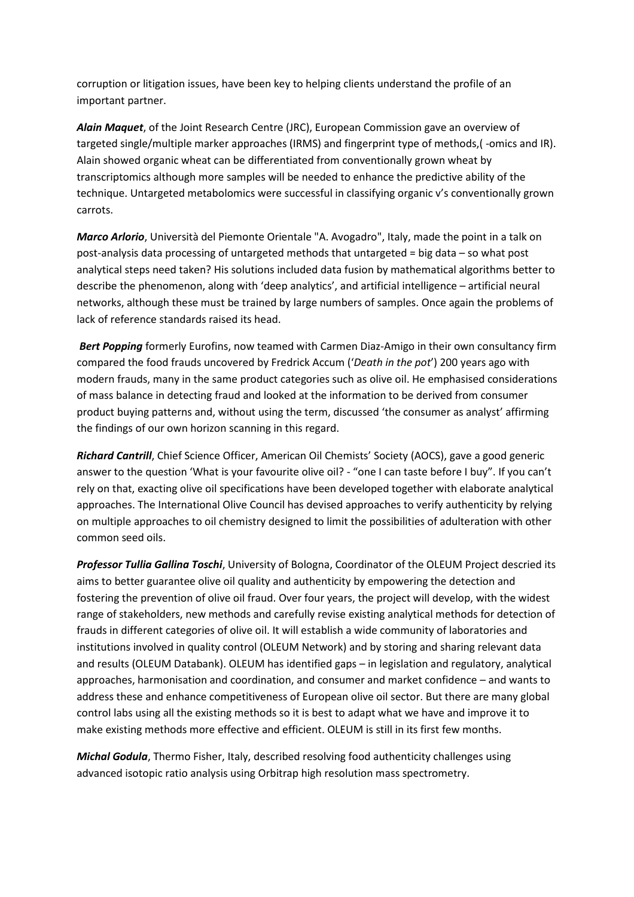corruption or litigation issues, have been key to helping clients understand the profile of an important partner.

*Alain Maquet*, of the Joint Research Centre (JRC), European Commission gave an overview of targeted single/multiple marker approaches (IRMS) and fingerprint type of methods,( -omics and IR). Alain showed organic wheat can be differentiated from conventionally grown wheat by transcriptomics although more samples will be needed to enhance the predictive ability of the technique. Untargeted metabolomics were successful in classifying organic v's conventionally grown carrots.

*Marco Arlorio*, Università del Piemonte Orientale "A. Avogadro", Italy, made the point in a talk on post-analysis data processing of untargeted methods that untargeted = big data – so what post analytical steps need taken? His solutions included data fusion by mathematical algorithms better to describe the phenomenon, along with 'deep analytics', and artificial intelligence – artificial neural networks, although these must be trained by large numbers of samples. Once again the problems of lack of reference standards raised its head.

*Bert Popping* formerly Eurofins, now teamed with Carmen Diaz-Amigo in their own consultancy firm compared the food frauds uncovered by Fredrick Accum ('*Death in the pot*') 200 years ago with modern frauds, many in the same product categories such as olive oil. He emphasised considerations of mass balance in detecting fraud and looked at the information to be derived from consumer product buying patterns and, without using the term, discussed 'the consumer as analyst' affirming the findings of our own horizon scanning in this regard.

*Richard Cantrill*, Chief Science Officer, American Oil Chemists' Society (AOCS), gave a good generic answer to the question 'What is your favourite olive oil? - "one I can taste before I buy". If you can't rely on that, exacting olive oil specifications have been developed together with elaborate analytical approaches. The International Olive Council has devised approaches to verify authenticity by relying on multiple approaches to oil chemistry designed to limit the possibilities of adulteration with other common seed oils.

*Professor Tullia Gallina Toschi*, University of Bologna, Coordinator of the OLEUM Project descried its aims to better guarantee olive oil quality and authenticity by empowering the detection and fostering the prevention of olive oil fraud. Over four years, the project will develop, with the widest range of stakeholders, new methods and carefully revise existing analytical methods for detection of frauds in different categories of olive oil. It will establish a wide community of laboratories and institutions involved in quality control (OLEUM Network) and by storing and sharing relevant data and results (OLEUM Databank). OLEUM has identified gaps – in legislation and regulatory, analytical approaches, harmonisation and coordination, and consumer and market confidence – and wants to address these and enhance competitiveness of European olive oil sector. But there are many global control labs using all the existing methods so it is best to adapt what we have and improve it to make existing methods more effective and efficient. OLEUM is still in its first few months.

*Michal Godula*, Thermo Fisher, Italy, described resolving food authenticity challenges using advanced isotopic ratio analysis using Orbitrap high resolution mass spectrometry.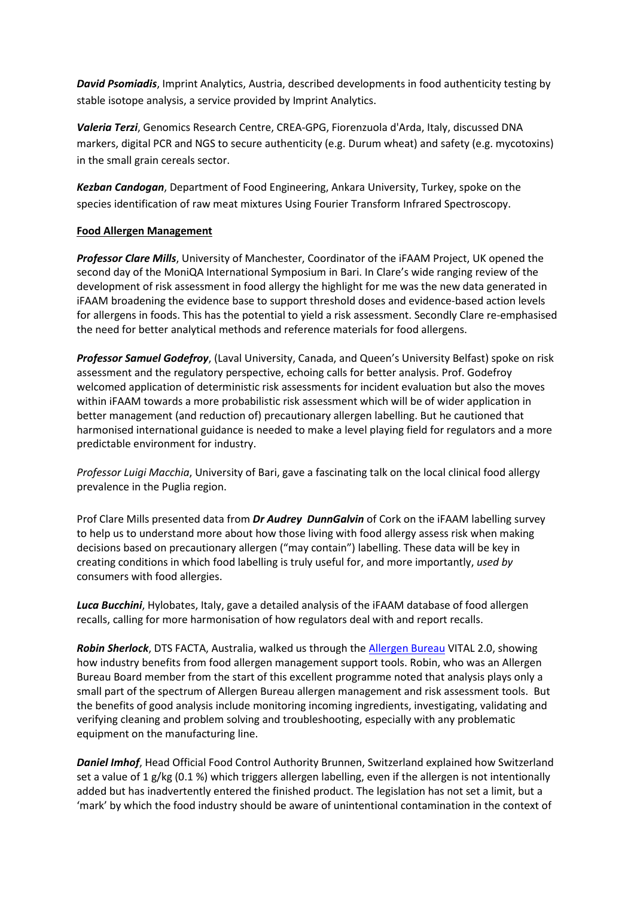*David Psomiadis*, Imprint Analytics, Austria, described developments in food authenticity testing by stable isotope analysis, a service provided by Imprint Analytics.

*Valeria Terzi*, Genomics Research Centre, CREA-GPG, Fiorenzuola d'Arda, Italy, discussed DNA markers, digital PCR and NGS to secure authenticity (e.g. Durum wheat) and safety (e.g. mycotoxins) in the small grain cereals sector.

*Kezban Candogan*, Department of Food Engineering, Ankara University, Turkey, spoke on the species identification of raw meat mixtures Using Fourier Transform Infrared Spectroscopy.

## **Food Allergen Management**

*Professor Clare Mills*, University of Manchester, Coordinator of the iFAAM Project, UK opened the second day of the MoniQA International Symposium in Bari. In Clare's wide ranging review of the development of risk assessment in food allergy the highlight for me was the new data generated in iFAAM broadening the evidence base to support threshold doses and evidence-based action levels for allergens in foods. This has the potential to yield a risk assessment. Secondly Clare re-emphasised the need for better analytical methods and reference materials for food allergens.

*Professor Samuel Godefroy*, (Laval University, Canada, and Queen's University Belfast) spoke on risk assessment and the regulatory perspective, echoing calls for better analysis. Prof. Godefroy welcomed application of deterministic risk assessments for incident evaluation but also the moves within iFAAM towards a more probabilistic risk assessment which will be of wider application in better management (and reduction of) precautionary allergen labelling. But he cautioned that harmonised international guidance is needed to make a level playing field for regulators and a more predictable environment for industry.

*Professor Luigi Macchia*, University of Bari, gave a fascinating talk on the local clinical food allergy prevalence in the Puglia region.

Prof Clare Mills presented data from *Dr Audrey DunnGalvin* of Cork on the iFAAM labelling survey to help us to understand more about how those living with food allergy assess risk when making decisions based on precautionary allergen ("may contain") labelling. These data will be key in creating conditions in which food labelling is truly useful for, and more importantly, *used by* consumers with food allergies.

*Luca Bucchini*, Hylobates, Italy, gave a detailed analysis of the iFAAM database of food allergen recalls, calling for more harmonisation of how regulators deal with and report recalls.

*Robin Sherlock*, DTS FACTA, Australia, walked us through the Allergen Bureau VITAL 2.0, showing how industry benefits from food allergen management support tools. Robin, who was an Allergen Bureau Board member from the start of this excellent programme noted that analysis plays only a small part of the spectrum of Allergen Bureau allergen management and risk assessment tools. But the benefits of good analysis include monitoring incoming ingredients, investigating, validating and verifying cleaning and problem solving and troubleshooting, especially with any problematic equipment on the manufacturing line.

*Daniel Imhof*, Head Official Food Control Authority Brunnen, Switzerland explained how Switzerland set a value of 1 g/kg (0.1 %) which triggers allergen labelling, even if the allergen is not intentionally added but has inadvertently entered the finished product. The legislation has not set a limit, but a 'mark' by which the food industry should be aware of unintentional contamination in the context of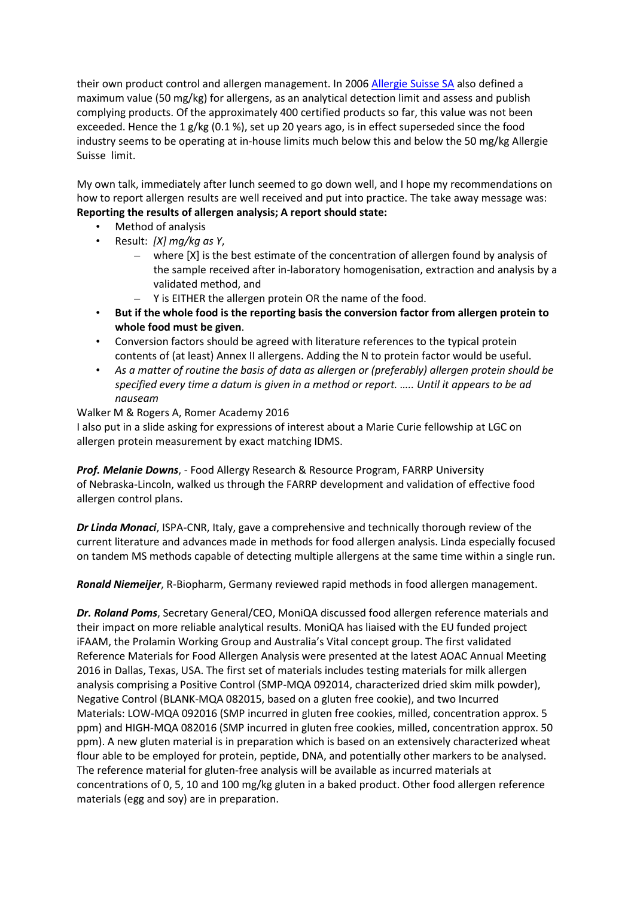their own product control and allergen management. In 2006 Allergie Suisse SA also defined a maximum value (50 mg/kg) for allergens, as an analytical detection limit and assess and publish complying products. Of the approximately 400 certified products so far, this value was not been exceeded. Hence the 1 g/kg (0.1 %), set up 20 years ago, is in effect superseded since the food industry seems to be operating at in-house limits much below this and below the 50 mg/kg Allergie Suisse limit.

My own talk, immediately after lunch seemed to go down well, and I hope my recommendations on how to report allergen results are well received and put into practice. The take away message was: **Reporting the results of allergen analysis; A report should state:** 

- Method of analysis
- Result: *[X] mg/kg as Y*,
	- where [X] is the best estimate of the concentration of allergen found by analysis of the sample received after in-laboratory homogenisation, extraction and analysis by a validated method, and
	- Y is EITHER the allergen protein OR the name of the food.
- **But if the whole food is the reporting basis the conversion factor from allergen protein to whole food must be given**.
- Conversion factors should be agreed with literature references to the typical protein contents of (at least) Annex II allergens. Adding the N to protein factor would be useful.
- *As a matter of routine the basis of data as allergen or (preferably) allergen protein should be specified every time a datum is given in a method or report. ….. Until it appears to be ad nauseam*

Walker M & Rogers A, Romer Academy 2016 I also put in a slide asking for expressions of interest about a Marie Curie fellowship at LGC on allergen protein measurement by exact matching IDMS.

*Prof. Melanie Downs*, - Food Allergy Research & Resource Program, FARRP University of Nebraska-Lincoln, walked us through the FARRP development and validation of effective food allergen control plans.

*Dr Linda Monaci*, ISPA-CNR, Italy, gave a comprehensive and technically thorough review of the current literature and advances made in methods for food allergen analysis. Linda especially focused on tandem MS methods capable of detecting multiple allergens at the same time within a single run.

*Ronald Niemeijer*, R-Biopharm, Germany reviewed rapid methods in food allergen management.

*Dr. Roland Poms*, Secretary General/CEO, MoniQA discussed food allergen reference materials and their impact on more reliable analytical results. MoniQA has liaised with the EU funded project iFAAM, the Prolamin Working Group and Australia's Vital concept group. The first validated Reference Materials for Food Allergen Analysis were presented at the latest AOAC Annual Meeting 2016 in Dallas, Texas, USA. The first set of materials includes testing materials for milk allergen analysis comprising a Positive Control (SMP-MQA 092014, characterized dried skim milk powder), Negative Control (BLANK-MQA 082015, based on a gluten free cookie), and two Incurred Materials: LOW-MQA 092016 (SMP incurred in gluten free cookies, milled, concentration approx. 5 ppm) and HIGH-MQA 082016 (SMP incurred in gluten free cookies, milled, concentration approx. 50 ppm). A new gluten material is in preparation which is based on an extensively characterized wheat flour able to be employed for protein, peptide, DNA, and potentially other markers to be analysed. The reference material for gluten-free analysis will be available as incurred materials at concentrations of 0, 5, 10 and 100 mg/kg gluten in a baked product. Other food allergen reference materials (egg and soy) are in preparation.